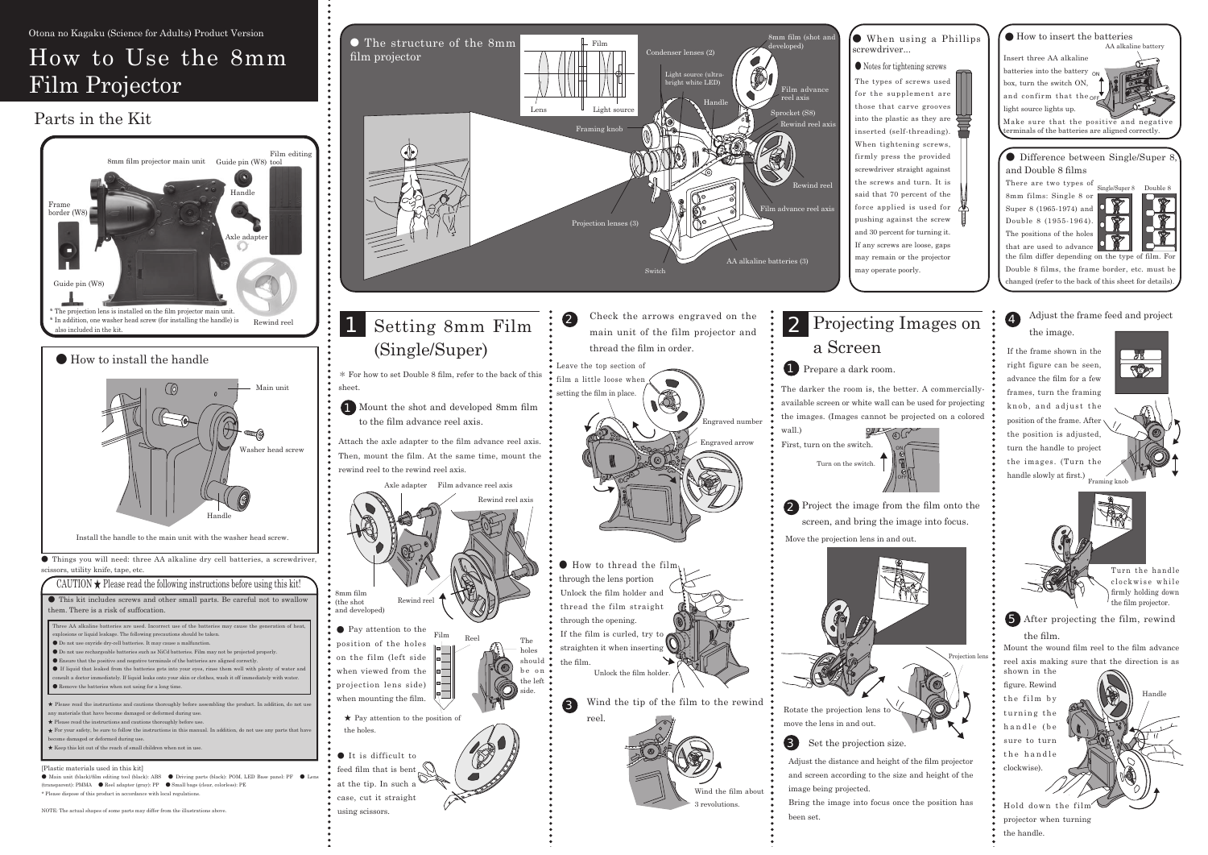# How to Use the 8mm Film Projector

### Parts in the Kit

4 Adjust the frame feed and project the image.

If the frame shown in the right figure can be seen, advance the film for a few frames, turn the framing knob, and adjust the position of the frame. After the position is adjusted. turn the handle to project the images. (Turn the handle slowly at first.)  $\frac{1}{\text{Framing } \text{kn}}$ 



Turn the handle clockwise while firmly holding down

ON

OFF



Projection lens



been set.





● Things you will need: three AA alkaline dry cell batteries, a screwdriver,  $\mathbf{1}$  .  $\mathbf{e}$ 

| This kit includes screws and other small parts. Be careful not to swallow<br>them. There is a risk of suffocation.                                                                                                                                                                                                                                                                                                                                                                                                                                                                                                                                                                                                                       |  |
|------------------------------------------------------------------------------------------------------------------------------------------------------------------------------------------------------------------------------------------------------------------------------------------------------------------------------------------------------------------------------------------------------------------------------------------------------------------------------------------------------------------------------------------------------------------------------------------------------------------------------------------------------------------------------------------------------------------------------------------|--|
| Three AA alkaline batteries are used. Incorrect use of the batteries may cause the generation of heat,<br>explosions or liquid leakage. The following precautions should be taken.<br>● Do not use oxyride dry-cell batteries. It may cause a malfunction.<br>Do not use rechargeable batteries such as NiCd batteries. Film may not be projected properly.<br>Ensure that the positive and negative terminals of the batteries are aligned correctly.<br>If liquid that leaked from the batteries gets into your eyes, rinse them well with plenty of water and<br>consult a doctor immediately. If liquid leaks onto your skin or clothes, wash it off immediately with water.<br>Remove the batteries when not using for a long time. |  |
| ★ Please read the instructions and cautions thoroughly before assembling the product. In addition, do not use<br>any materials that have become damaged or deformed during use.<br>$\star$ Please read the instructions and cautions thoroughly before use.<br>$\star$ For your safety, be sure to follow the instructions in this manual. In addition, do not use any parts that have<br>become damaged or deformed during use.<br>$\star$ Keep this kit out of the reach of small children when not in use.                                                                                                                                                                                                                            |  |

nt): PMMA  $\bullet$  Reel adapter (gray): PP  $\bullet$  Small bags (clear, colorless): PF  $^\ast$  Please dispose of this product in accordance with local regulations



8mm films: Single 8 or Super  $8(1965-1974)$  and Double 8  $(1955-1964)$ . The positions of the holes that are used to advance





the film differ depending on the type of film. Double 8 films, the frame border, etc. must b changed (refer to the back of this sheet for details)





#### $\bullet$  When using a Phillips

 $\bullet$  Notes for tightening screws

The types of screws used for the supplement are those that carve grooves into the plastic as they are inserted (self-threading). When tightening screws, firmly press the provided screwdriver straight against the screws and turn. It is said that 70 percent of the force applied is used for pushing against the screw and 30 percent for turning it. If any screws are loose, gaps may remain or the projector







Mount the wound film reel to the film advance reel axis making sure that the direction is as shown in the

figure. Rewind the film by turning the handle (be sure to turn the handle clockwise)

Hold down the fil projector when turning the handle.

Handle